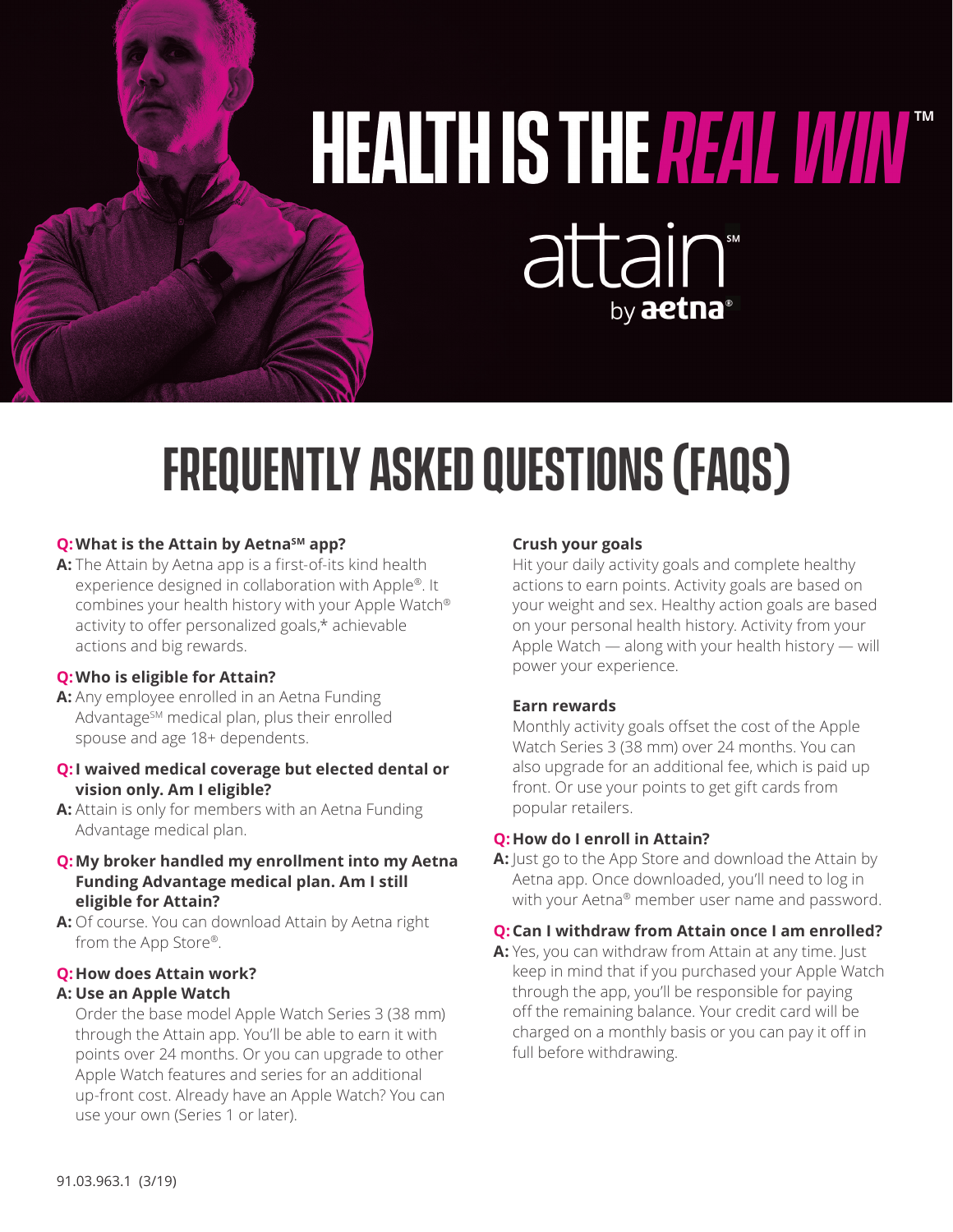# HEALTH IS THE REAL WWW attain by aetna®

## **Frequently asked questions (FAQs)**

### **Q: What is the Attain by Aetna**SM app?

**A:** The Attain by Aetna app is a first-of-its kind health experience designed in collaboration with Apple®. It combines your health history with your Apple Watch® activity to offer personalized goals,\* achievable actions and big rewards.

### **Q:Who is eligible for Attain?**

**A:** Any employee enrolled in an Aetna Funding Advantage<sup>SM</sup> medical plan, plus their enrolled spouse and age 18+ dependents.

### **Q:I waived medical coverage but elected dental or vision only. Am I eligible?**

**A:** Attain is only for members with an Aetna Funding Advantage medical plan.

### **Q:My broker handled my enrollment into my Aetna Funding Advantage medical plan. Am I still eligible for Attain?**

**A:** Of course. You can download Attain by Aetna right from the App Store®.

### **Q:How does Attain work?**

### **A: Use an Apple Watch**

Order the base model Apple Watch Series 3 (38 mm) through the Attain app. You'll be able to earn it with points over 24 months. Or you can upgrade to other Apple Watch features and series for an additional up-front cost. Already have an Apple Watch? You can use your own (Series 1 or later).

#### **Crush your goals**

Hit your daily activity goals and complete healthy actions to earn points. Activity goals are based on your weight and sex. Healthy action goals are based on your personal health history. Activity from your Apple Watch — along with your health history — will power your experience.

### **Earn rewards**

Monthly activity goals offset the cost of the Apple Watch Series 3 (38 mm) over 24 months. You can also upgrade for an additional fee, which is paid up front. Or use your points to get gift cards from popular retailers.

### **Q:How do I enroll in Attain?**

**A:** Just go to the App Store and download the Attain by Aetna app. Once downloaded, you'll need to log in with your Aetna® member user name and password.

### **Q:Can I withdraw from Attain once I am enrolled?**

A: Yes, you can withdraw from Attain at any time. Just keep in mind that if you purchased your Apple Watch through the app, you'll be responsible for paying off the remaining balance. Your credit card will be charged on a monthly basis or you can pay it off in full before withdrawing.